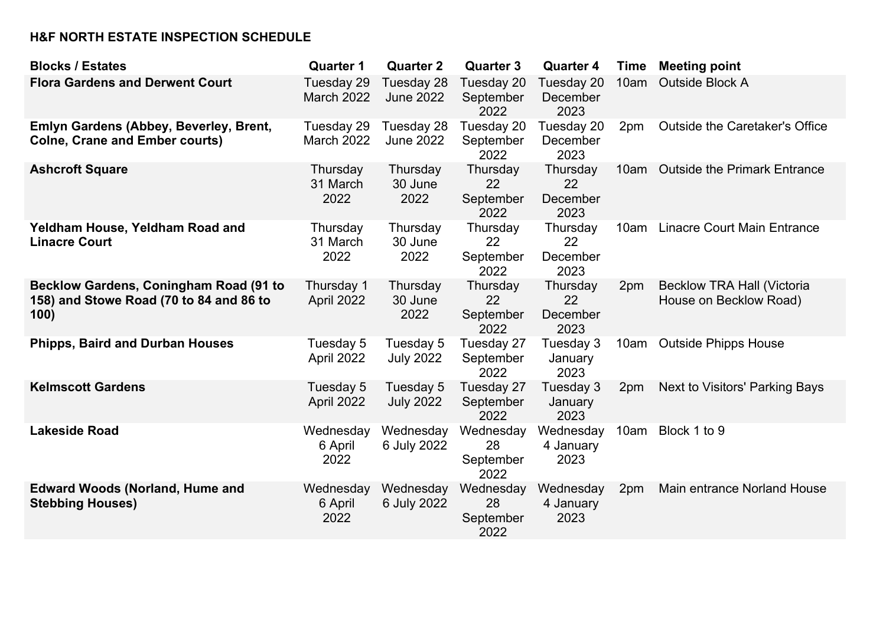## **H&F NORTH ESTATE INSPECTION SCHEDULE**

| <b>Blocks / Estates</b>                                                                          | <b>Quarter 1</b>                | <b>Quarter 2</b>               | <b>Quarter 3</b>                     | <b>Quarter 4</b>                   | Time | <b>Meeting point</b>                                        |
|--------------------------------------------------------------------------------------------------|---------------------------------|--------------------------------|--------------------------------------|------------------------------------|------|-------------------------------------------------------------|
| <b>Flora Gardens and Derwent Court</b>                                                           | Tuesday 29<br><b>March 2022</b> | Tuesday 28<br><b>June 2022</b> | Tuesday 20<br>September<br>2022      | Tuesday 20<br>December<br>2023     | 10am | <b>Outside Block A</b>                                      |
| Emlyn Gardens (Abbey, Beverley, Brent,<br><b>Colne, Crane and Ember courts)</b>                  | Tuesday 29<br><b>March 2022</b> | Tuesday 28<br><b>June 2022</b> | Tuesday 20<br>September<br>2022      | Tuesday 20<br>December<br>2023     | 2pm  | <b>Outside the Caretaker's Office</b>                       |
| <b>Ashcroft Square</b>                                                                           | Thursday<br>31 March<br>2022    | Thursday<br>30 June<br>2022    | Thursday<br>22<br>September<br>2022  | Thursday<br>22<br>December<br>2023 | 10am | <b>Outside the Primark Entrance</b>                         |
| Yeldham House, Yeldham Road and<br><b>Linacre Court</b>                                          | Thursday<br>31 March<br>2022    | Thursday<br>30 June<br>2022    | Thursday<br>22<br>September<br>2022  | Thursday<br>22<br>December<br>2023 | 10am | <b>Linacre Court Main Entrance</b>                          |
| <b>Becklow Gardens, Coningham Road (91 to</b><br>158) and Stowe Road (70 to 84 and 86 to<br>100) | Thursday 1<br>April 2022        | Thursday<br>30 June<br>2022    | Thursday<br>22<br>September<br>2022  | Thursday<br>22<br>December<br>2023 | 2pm  | <b>Becklow TRA Hall (Victoria</b><br>House on Becklow Road) |
| <b>Phipps, Baird and Durban Houses</b>                                                           | Tuesday 5<br>April 2022         | Tuesday 5<br><b>July 2022</b>  | Tuesday 27<br>September<br>2022      | Tuesday 3<br>January<br>2023       | 10am | <b>Outside Phipps House</b>                                 |
| <b>Kelmscott Gardens</b>                                                                         | Tuesday 5<br>April 2022         | Tuesday 5<br><b>July 2022</b>  | Tuesday 27<br>September<br>2022      | Tuesday 3<br>January<br>2023       | 2pm  | Next to Visitors' Parking Bays                              |
| <b>Lakeside Road</b>                                                                             | Wednesday<br>6 April<br>2022    | Wednesday<br>6 July 2022       | Wednesday<br>28<br>September<br>2022 | Wednesday<br>4 January<br>2023     | 10am | Block 1 to 9                                                |
| <b>Edward Woods (Norland, Hume and</b><br><b>Stebbing Houses)</b>                                | Wednesday<br>6 April<br>2022    | Wednesday<br>6 July 2022       | Wednesday<br>28<br>September<br>2022 | Wednesday<br>4 January<br>2023     | 2pm  | Main entrance Norland House                                 |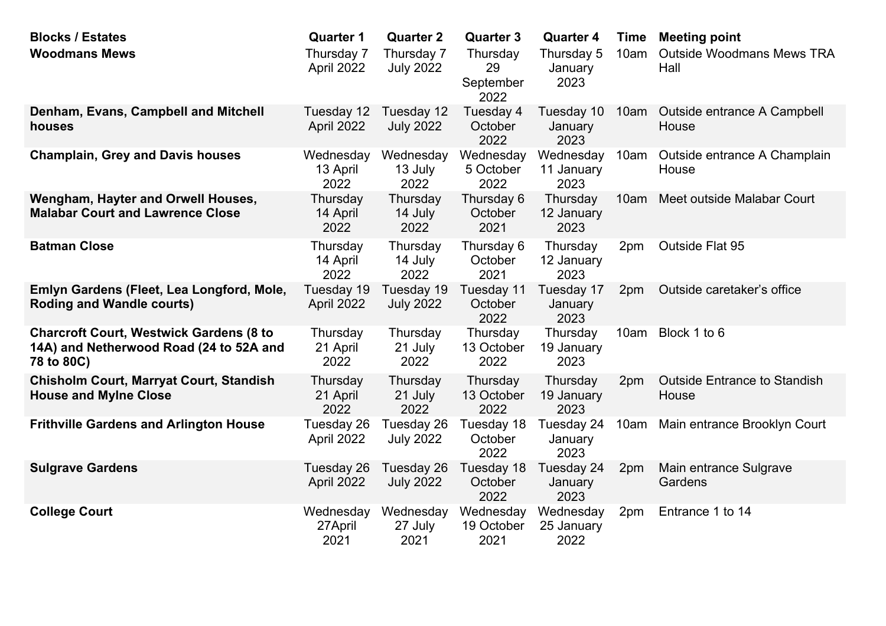| <b>Blocks / Estates</b>                                                                                 | <b>Quarter 1</b>              | <b>Quarter 2</b>               | <b>Quarter 3</b>                    | <b>Quarter 4</b>                | <b>Time</b> | <b>Meeting point</b>                         |
|---------------------------------------------------------------------------------------------------------|-------------------------------|--------------------------------|-------------------------------------|---------------------------------|-------------|----------------------------------------------|
| <b>Woodmans Mews</b>                                                                                    | Thursday 7<br>April 2022      | Thursday 7<br><b>July 2022</b> | Thursday<br>29<br>September<br>2022 | Thursday 5<br>January<br>2023   | 10am        | <b>Outside Woodmans Mews TRA</b><br>Hall     |
| Denham, Evans, Campbell and Mitchell<br>houses                                                          | Tuesday 12<br>April 2022      | Tuesday 12<br><b>July 2022</b> | Tuesday 4<br>October<br>2022        | Tuesday 10<br>January<br>2023   | 10am        | Outside entrance A Campbell<br>House         |
| <b>Champlain, Grey and Davis houses</b>                                                                 | Wednesday<br>13 April<br>2022 | Wednesday<br>13 July<br>2022   | Wednesday<br>5 October<br>2022      | Wednesday<br>11 January<br>2023 | 10am        | Outside entrance A Champlain<br>House        |
| Wengham, Hayter and Orwell Houses,<br><b>Malabar Court and Lawrence Close</b>                           | Thursday<br>14 April<br>2022  | Thursday<br>14 July<br>2022    | Thursday 6<br>October<br>2021       | Thursday<br>12 January<br>2023  | 10am        | Meet outside Malabar Court                   |
| <b>Batman Close</b>                                                                                     | Thursday<br>14 April<br>2022  | Thursday<br>14 July<br>2022    | Thursday 6<br>October<br>2021       | Thursday<br>12 January<br>2023  | 2pm         | Outside Flat 95                              |
| Emlyn Gardens (Fleet, Lea Longford, Mole,<br><b>Roding and Wandle courts)</b>                           | Tuesday 19<br>April 2022      | Tuesday 19<br><b>July 2022</b> | Tuesday 11<br>October<br>2022       | Tuesday 17<br>January<br>2023   | 2pm         | Outside caretaker's office                   |
| <b>Charcroft Court, Westwick Gardens (8 to</b><br>14A) and Netherwood Road (24 to 52A and<br>78 to 80C) | Thursday<br>21 April<br>2022  | Thursday<br>21 July<br>2022    | Thursday<br>13 October<br>2022      | Thursday<br>19 January<br>2023  | 10am        | Block 1 to 6                                 |
| <b>Chisholm Court, Marryat Court, Standish</b><br><b>House and Mylne Close</b>                          | Thursday<br>21 April<br>2022  | Thursday<br>21 July<br>2022    | Thursday<br>13 October<br>2022      | Thursday<br>19 January<br>2023  | 2pm         | <b>Outside Entrance to Standish</b><br>House |
| <b>Frithville Gardens and Arlington House</b>                                                           | Tuesday 26<br>April 2022      | Tuesday 26<br><b>July 2022</b> | Tuesday 18<br>October<br>2022       | Tuesday 24<br>January<br>2023   | 10am        | Main entrance Brooklyn Court                 |
| <b>Sulgrave Gardens</b>                                                                                 | Tuesday 26<br>April 2022      | Tuesday 26<br><b>July 2022</b> | Tuesday 18<br>October<br>2022       | Tuesday 24<br>January<br>2023   | 2pm         | Main entrance Sulgrave<br>Gardens            |
| <b>College Court</b>                                                                                    | Wednesday<br>27April<br>2021  | Wednesday<br>27 July<br>2021   | Wednesday<br>19 October<br>2021     | Wednesday<br>25 January<br>2022 | 2pm         | Entrance 1 to 14                             |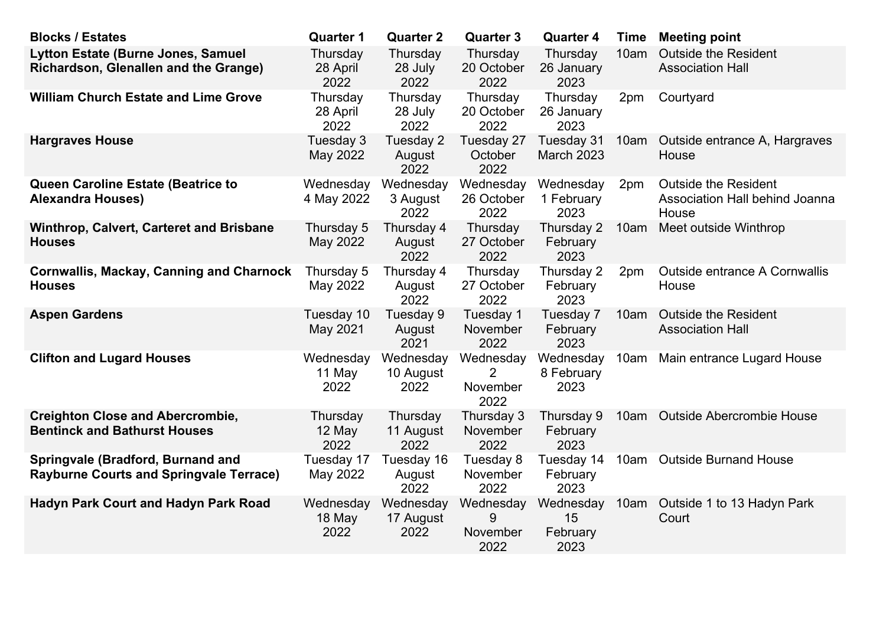| <b>Blocks / Estates</b>                                                             | <b>Quarter 1</b>             | <b>Quarter 2</b>               | <b>Quarter 3</b>                   | <b>Quarter 4</b>                    | <b>Time</b> | <b>Meeting point</b>                                                   |
|-------------------------------------------------------------------------------------|------------------------------|--------------------------------|------------------------------------|-------------------------------------|-------------|------------------------------------------------------------------------|
| Lytton Estate (Burne Jones, Samuel<br>Richardson, Glenallen and the Grange)         | Thursday<br>28 April<br>2022 | Thursday<br>28 July<br>2022    | Thursday<br>20 October<br>2022     | Thursday<br>26 January<br>2023      | 10am        | <b>Outside the Resident</b><br><b>Association Hall</b>                 |
| <b>William Church Estate and Lime Grove</b>                                         | Thursday<br>28 April<br>2022 | Thursday<br>28 July<br>2022    | Thursday<br>20 October<br>2022     | Thursday<br>26 January<br>2023      | 2pm         | Courtyard                                                              |
| <b>Hargraves House</b>                                                              | Tuesday 3<br>May 2022        | Tuesday 2<br>August<br>2022    | Tuesday 27<br>October<br>2022      | Tuesday 31<br><b>March 2023</b>     | 10am        | Outside entrance A, Hargraves<br>House                                 |
| Queen Caroline Estate (Beatrice to<br><b>Alexandra Houses)</b>                      | Wednesday<br>4 May 2022      | Wednesday<br>3 August<br>2022  | Wednesday<br>26 October<br>2022    | Wednesday<br>1 February<br>2023     | 2pm         | <b>Outside the Resident</b><br>Association Hall behind Joanna<br>House |
| Winthrop, Calvert, Carteret and Brisbane<br><b>Houses</b>                           | Thursday 5<br>May 2022       | Thursday 4<br>August<br>2022   | Thursday<br>27 October<br>2022     | Thursday 2<br>February<br>2023      | 10am        | Meet outside Winthrop                                                  |
| <b>Cornwallis, Mackay, Canning and Charnock</b><br><b>Houses</b>                    | Thursday 5<br>May 2022       | Thursday 4<br>August<br>2022   | Thursday<br>27 October<br>2022     | Thursday 2<br>February<br>2023      | 2pm         | <b>Outside entrance A Cornwallis</b><br>House                          |
| <b>Aspen Gardens</b>                                                                | Tuesday 10<br>May 2021       | Tuesday 9<br>August<br>2021    | Tuesday 1<br>November<br>2022      | Tuesday 7<br>February<br>2023       | 10am        | <b>Outside the Resident</b><br><b>Association Hall</b>                 |
| <b>Clifton and Lugard Houses</b>                                                    | Wednesday<br>11 May<br>2022  | Wednesday<br>10 August<br>2022 | Wednesday<br>November<br>2022      | Wednesday<br>8 February<br>2023     | 10am        | Main entrance Lugard House                                             |
| <b>Creighton Close and Abercrombie,</b><br><b>Bentinck and Bathurst Houses</b>      | Thursday<br>12 May<br>2022   | Thursday<br>11 August<br>2022  | Thursday 3<br>November<br>2022     | Thursday 9<br>February<br>2023      | 10am        | <b>Outside Abercrombie House</b>                                       |
| Springvale (Bradford, Burnand and<br><b>Rayburne Courts and Springvale Terrace)</b> | Tuesday 17<br>May 2022       | Tuesday 16<br>August<br>2022   | Tuesday 8<br>November<br>2022      | Tuesday 14<br>February<br>2023      | 10am        | <b>Outside Burnand House</b>                                           |
| <b>Hadyn Park Court and Hadyn Park Road</b>                                         | Wednesday<br>18 May<br>2022  | Wednesday<br>17 August<br>2022 | Wednesday<br>9<br>November<br>2022 | Wednesday<br>15<br>February<br>2023 | 10am        | Outside 1 to 13 Hadyn Park<br>Court                                    |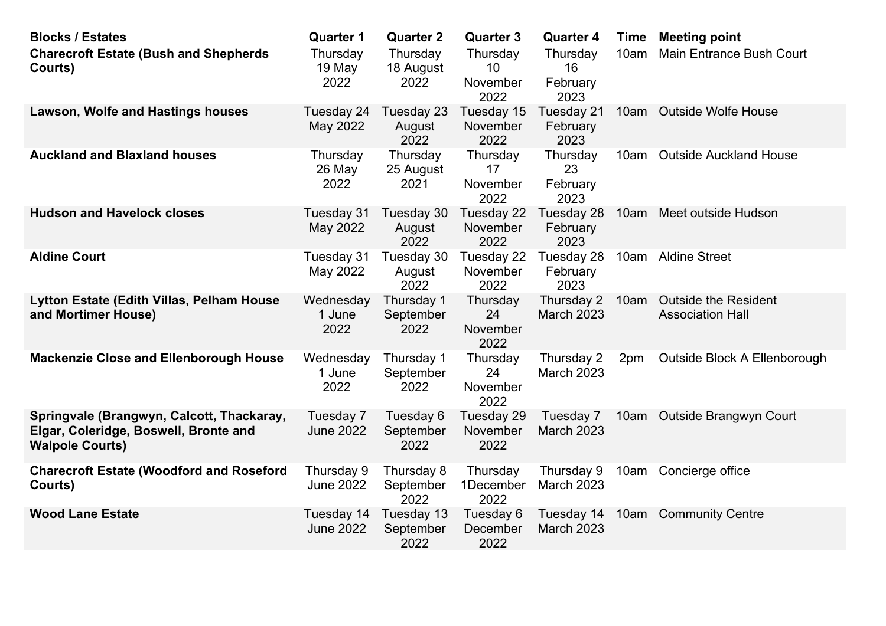| <b>Blocks / Estates</b><br><b>Charecroft Estate (Bush and Shepherds</b><br>Courts)                           | <b>Quarter 1</b><br>Thursday<br>19 May<br>2022 | <b>Quarter 2</b><br>Thursday<br>18 August<br>2022 | <b>Quarter 3</b><br>Thursday<br>10<br>November<br>2022 | <b>Quarter 4</b><br>Thursday<br>16<br>February<br>2023 | <b>Time</b><br>10am | <b>Meeting point</b><br><b>Main Entrance Bush Court</b> |
|--------------------------------------------------------------------------------------------------------------|------------------------------------------------|---------------------------------------------------|--------------------------------------------------------|--------------------------------------------------------|---------------------|---------------------------------------------------------|
| <b>Lawson, Wolfe and Hastings houses</b>                                                                     | Tuesday 24<br>May 2022                         | Tuesday 23<br>August<br>2022                      | Tuesday 15<br>November<br>2022                         | Tuesday 21<br>February<br>2023                         | 10am                | <b>Outside Wolfe House</b>                              |
| <b>Auckland and Blaxland houses</b>                                                                          | Thursday<br>26 May<br>2022                     | Thursday<br>25 August<br>2021                     | Thursday<br>17<br>November<br>2022                     | Thursday<br>23<br>February<br>2023                     | 10am                | <b>Outside Auckland House</b>                           |
| <b>Hudson and Havelock closes</b>                                                                            | Tuesday 31<br>May 2022                         | Tuesday 30<br>August<br>2022                      | Tuesday 22<br>November<br>2022                         | Tuesday 28<br>February<br>2023                         | 10am                | Meet outside Hudson                                     |
| <b>Aldine Court</b>                                                                                          | Tuesday 31<br>May 2022                         | Tuesday 30<br>August<br>2022                      | Tuesday 22<br>November<br>2022                         | Tuesday 28<br>February<br>2023                         |                     | 10am Aldine Street                                      |
| Lytton Estate (Edith Villas, Pelham House<br>and Mortimer House)                                             | Wednesday<br>1 June<br>2022                    | Thursday 1<br>September<br>2022                   | Thursday<br>24<br>November<br>2022                     | Thursday 2<br><b>March 2023</b>                        | 10am                | <b>Outside the Resident</b><br><b>Association Hall</b>  |
| <b>Mackenzie Close and Ellenborough House</b>                                                                | Wednesday<br>1 June<br>2022                    | Thursday 1<br>September<br>2022                   | Thursday<br>24<br>November<br>2022                     | Thursday 2<br><b>March 2023</b>                        | 2pm                 | Outside Block A Ellenborough                            |
| Springvale (Brangwyn, Calcott, Thackaray,<br>Elgar, Coleridge, Boswell, Bronte and<br><b>Walpole Courts)</b> | Tuesday 7<br><b>June 2022</b>                  | Tuesday 6<br>September<br>2022                    | Tuesday 29<br>November<br>2022                         | Tuesday 7<br>March 2023                                |                     | 10am Outside Brangwyn Court                             |
| <b>Charecroft Estate (Woodford and Roseford</b><br>Courts)                                                   | Thursday 9<br><b>June 2022</b>                 | Thursday 8<br>September<br>2022                   | Thursday<br>1December<br>2022                          | Thursday 9<br>March 2023                               |                     | 10am Concierge office                                   |
| <b>Wood Lane Estate</b>                                                                                      | Tuesday 14<br><b>June 2022</b>                 | Tuesday 13<br>September<br>2022                   | Tuesday 6<br>December<br>2022                          | Tuesday 14<br>March 2023                               |                     | 10am Community Centre                                   |